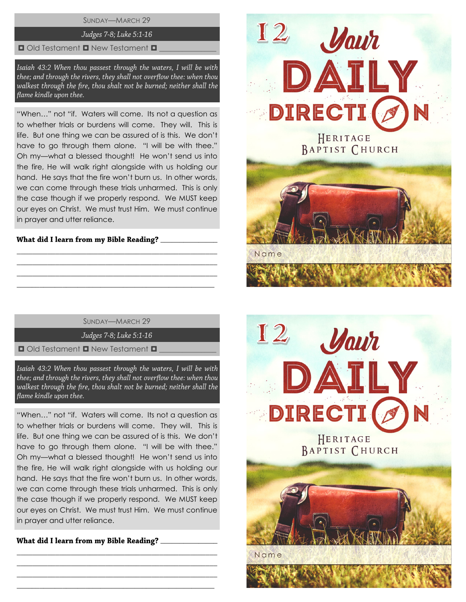SUNDAY—MARCH 29

# Judges 7-8; Luke 5:1-16

## $\Box$  Old Testament  $\Box$  New Testament  $\Box$

Isaiah 43:2 When thou passest through the waters, I will be with thee; and through the rivers, they shall not overflow thee: when thou walkest through the fire, thou shalt not be burned; neither shall the flame kindle upon thee.

"When…" not "if. Waters will come. Its not a question as to whether trials or burdens will come. They will. This is life. But one thing we can be assured of is this. We don't have to go through them alone. "I will be with thee." Oh my—what a blessed thought! He won't send us into the fire, He will walk right alongside with us holding our hand. He says that the fire won't burn us. In other words, we can come through these trials unharmed. This is only the case though if we properly respond. We MUST keep our eyes on Christ. We must trust Him. We must continue in prayer and utter reliance.

## What did I learn from my Bible Reading? \_\_\_\_\_\_\_\_\_

SUNDAY—MARCH 29

\_\_\_\_\_\_\_\_\_\_\_\_\_\_\_\_\_\_\_\_\_\_\_\_\_\_\_\_\_\_\_\_\_\_\_\_\_\_\_\_\_\_\_\_\_\_\_\_\_\_\_\_ \_\_\_\_\_\_\_\_\_\_\_\_\_\_\_\_\_\_\_\_\_\_\_\_\_\_\_\_\_\_\_\_\_\_\_\_\_\_\_\_\_\_\_\_\_\_\_\_\_\_\_\_ \_\_\_\_\_\_\_\_\_\_\_\_\_\_\_\_\_\_\_\_\_\_\_\_\_\_\_\_\_\_\_\_\_\_\_\_\_\_\_\_\_\_\_\_\_\_\_\_\_\_\_\_ \_\_\_\_\_\_\_\_\_\_\_\_\_\_\_\_\_\_\_\_\_\_\_\_\_\_\_\_\_\_\_\_\_\_\_\_\_\_\_\_\_\_\_\_\_\_\_\_\_\_\_\_

Judges 7-8; Luke 5:1-16

 $\blacksquare$  Old Testament  $\blacksquare$  New Testament  $\blacksquare$ 

Isaiah 43:2 When thou passest through the waters, I will be with thee; and through the rivers, they shall not overflow thee: when thou walkest through the fire, thou shalt not be burned; neither shall the flame kindle upon thee.

"When…" not "if. Waters will come. Its not a question as to whether trials or burdens will come. They will. This is life. But one thing we can be assured of is this. We don't have to go through them alone. "I will be with thee." Oh my—what a blessed thought! He won't send us into the fire, He will walk right alongside with us holding our hand. He says that the fire won't burn us. In other words, we can come through these trials unharmed. This is only the case though if we properly respond. We MUST keep our eyes on Christ. We must trust Him. We must continue in prayer and utter reliance.

\_\_\_\_\_\_\_\_\_\_\_\_\_\_\_\_\_\_\_\_\_\_\_\_\_\_\_\_\_\_\_\_\_\_\_\_\_\_\_\_\_\_\_\_\_\_\_\_\_\_\_\_ \_\_\_\_\_\_\_\_\_\_\_\_\_\_\_\_\_\_\_\_\_\_\_\_\_\_\_\_\_\_\_\_\_\_\_\_\_\_\_\_\_\_\_\_\_\_\_\_\_\_\_\_ \_\_\_\_\_\_\_\_\_\_\_\_\_\_\_\_\_\_\_\_\_\_\_\_\_\_\_\_\_\_\_\_\_\_\_\_\_\_\_\_\_\_\_\_\_\_\_\_\_\_\_\_ \_\_\_\_\_\_\_\_\_\_\_\_\_\_\_\_\_\_\_\_\_\_\_\_\_\_\_\_\_\_\_\_\_\_\_\_\_\_\_\_\_\_\_\_\_\_\_\_\_\_\_\_

What did I learn from my Bible Reading? \_\_\_\_\_\_\_\_\_\_



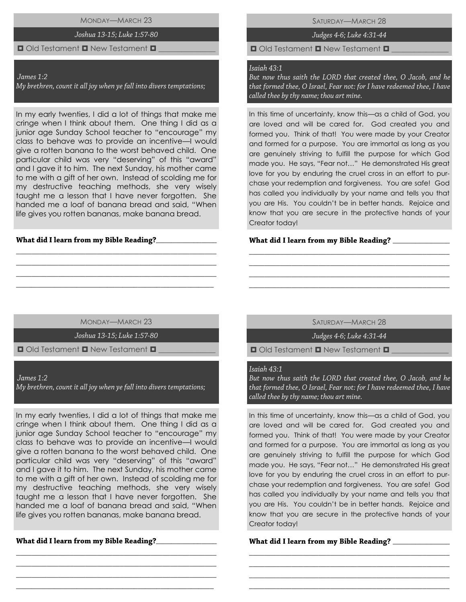MONDAY—MARCH 23

### Joshua 13-15; Luke 1:57-80

### $\Box$  Old Testament  $\Box$  New Testament  $\Box$

#### James 1:2

My brethren, count it all joy when ye fall into divers temptations;

In my early twenties, I did a lot of things that make me cringe when I think about them. One thing I did as a junior age Sunday School teacher to "encourage" my class to behave was to provide an incentive—I would give a rotten banana to the worst behaved child. One particular child was very "deserving" of this "award" and I gave it to him. The next Sunday, his mother came to me with a gift of her own. Instead of scolding me for my destructive teaching methods, she very wisely taught me a lesson that I have never forgotten. She handed me a loaf of banana bread and said, "When life gives you rotten bananas, make banana bread.

### What did I learn from my Bible Reading?\_\_\_

SATURDAY—MARCH 28

Judges 4-6; Luke 4:31-44

 $\Box$  Old Testament  $\Box$  New Testament  $\Box$ 

# Isaiah 43:1

But now thus saith the LORD that created thee, O Jacob, and he that formed thee, O Israel, Fear not: for I have redeemed thee, I have called thee by thy name; thou art mine.

In this time of uncertainty, know this—as a child of God, you are loved and will be cared for. God created you and formed you. Think of that! You were made by your Creator and formed for a purpose. You are immortal as long as you are genuinely striving to fulfill the purpose for which God made you. He says, "Fear not…" He demonstrated His great love for you by enduring the cruel cross in an effort to purchase your redemption and forgiveness. You are safe! God has called you individually by your name and tells you that you are His. You couldn't be in better hands. Rejoice and know that you are secure in the protective hands of your Creator today!

### What did I learn from my Bible Reading?

MONDAY—MARCH 23

\_\_\_\_\_\_\_\_\_\_\_\_\_\_\_\_\_\_\_\_\_\_\_\_\_\_\_\_\_\_\_\_\_\_\_\_\_\_\_\_\_\_\_\_\_\_\_\_\_\_\_\_ \_\_\_\_\_\_\_\_\_\_\_\_\_\_\_\_\_\_\_\_\_\_\_\_\_\_\_\_\_\_\_\_\_\_\_\_\_\_\_\_\_\_\_\_\_\_\_\_\_\_\_\_ \_\_\_\_\_\_\_\_\_\_\_\_\_\_\_\_\_\_\_\_\_\_\_\_\_\_\_\_\_\_\_\_\_\_\_\_\_\_\_\_\_\_\_\_\_\_\_\_\_\_\_\_ \_\_\_\_\_\_\_\_\_\_\_\_\_\_\_\_\_\_\_\_\_\_\_\_\_\_\_\_\_\_\_\_\_\_\_\_\_\_\_\_\_\_\_\_\_\_\_\_\_\_\_\_

Joshua 13-15; Luke 1:57-80

 $\Box$  Old Testament  $\Box$  New Testament  $\Box$ 

James 1:2

My brethren, count it all joy when ye fall into divers temptations;

In my early twenties, I did a lot of things that make me cringe when I think about them. One thing I did as a junior age Sunday School teacher to "encourage" my class to behave was to provide an incentive—I would give a rotten banana to the worst behaved child. One particular child was very "deserving" of this "award" and I gave it to him. The next Sunday, his mother came to me with a gift of her own. Instead of scolding me for my destructive teaching methods, she very wisely taught me a lesson that I have never forgotten. She handed me a loaf of banana bread and said, "When life gives you rotten bananas, make banana bread.

\_\_\_\_\_\_\_\_\_\_\_\_\_\_\_\_\_\_\_\_\_\_\_\_\_\_\_\_\_\_\_\_\_\_\_\_\_\_\_\_\_\_\_\_\_\_\_\_\_\_\_\_ \_\_\_\_\_\_\_\_\_\_\_\_\_\_\_\_\_\_\_\_\_\_\_\_\_\_\_\_\_\_\_\_\_\_\_\_\_\_\_\_\_\_\_\_\_\_\_\_\_\_\_\_ \_\_\_\_\_\_\_\_\_\_\_\_\_\_\_\_\_\_\_\_\_\_\_\_\_\_\_\_\_\_\_\_\_\_\_\_\_\_\_\_\_\_\_\_\_\_\_\_\_\_\_\_ \_\_\_\_\_\_\_\_\_\_\_\_\_\_\_\_\_\_\_\_\_\_\_\_\_\_\_\_\_\_\_\_\_\_\_\_\_\_\_\_\_\_\_\_\_\_\_\_\_\_\_\_

\_\_\_\_\_\_\_\_\_\_\_\_\_\_\_\_

SATURDAY—MARCH 28

\_\_\_\_\_\_\_\_\_\_\_\_\_\_\_\_\_\_\_\_\_\_\_\_\_\_\_\_\_\_\_\_\_\_\_\_\_\_\_\_\_\_\_\_\_\_\_\_\_\_\_\_ \_\_\_\_\_\_\_\_\_\_\_\_\_\_\_\_\_\_\_\_\_\_\_\_\_\_\_\_\_\_\_\_\_\_\_\_\_\_\_\_\_\_\_\_\_\_\_\_\_\_\_\_ \_\_\_\_\_\_\_\_\_\_\_\_\_\_\_\_\_\_\_\_\_\_\_\_\_\_\_\_\_\_\_\_\_\_\_\_\_\_\_\_\_\_\_\_\_\_\_\_\_\_\_\_ \_\_\_\_\_\_\_\_\_\_\_\_\_\_\_\_\_\_\_\_\_\_\_\_\_\_\_\_\_\_\_\_\_\_\_\_\_\_\_\_\_\_\_\_\_\_\_\_\_\_\_\_

Judges 4-6; Luke 4:31-44

 $\Box$  Old Testament  $\Box$  New Testament  $\Box$ 

## Isaiah 43:1

But now thus saith the LORD that created thee, O Jacob, and he that formed thee, O Israel, Fear not: for I have redeemed thee, I have called thee by thy name; thou art mine.

In this time of uncertainty, know this—as a child of God, you are loved and will be cared for. God created you and formed you. Think of that! You were made by your Creator and formed for a purpose. You are immortal as long as you are genuinely striving to fulfill the purpose for which God made you. He says, "Fear not…" He demonstrated His great love for you by enduring the cruel cross in an effort to purchase your redemption and forgiveness. You are safe! God has called you individually by your name and tells you that you are His. You couldn't be in better hands. Rejoice and know that you are secure in the protective hands of your Creator today!

\_\_\_\_\_\_\_\_\_\_\_\_\_\_\_\_\_\_\_\_\_\_\_\_\_\_\_\_\_\_\_\_\_\_\_\_\_\_\_\_\_\_\_\_\_\_\_\_\_\_\_\_ \_\_\_\_\_\_\_\_\_\_\_\_\_\_\_\_\_\_\_\_\_\_\_\_\_\_\_\_\_\_\_\_\_\_\_\_\_\_\_\_\_\_\_\_\_\_\_\_\_\_\_\_ \_\_\_\_\_\_\_\_\_\_\_\_\_\_\_\_\_\_\_\_\_\_\_\_\_\_\_\_\_\_\_\_\_\_\_\_\_\_\_\_\_\_\_\_\_\_\_\_\_\_\_\_ \_\_\_\_\_\_\_\_\_\_\_\_\_\_\_\_\_\_\_\_\_\_\_\_\_\_\_\_\_\_\_\_\_\_\_\_\_\_\_\_\_\_\_\_\_\_\_\_\_\_\_\_

What did I learn from my Bible Reading? \_\_\_\_\_\_\_\_\_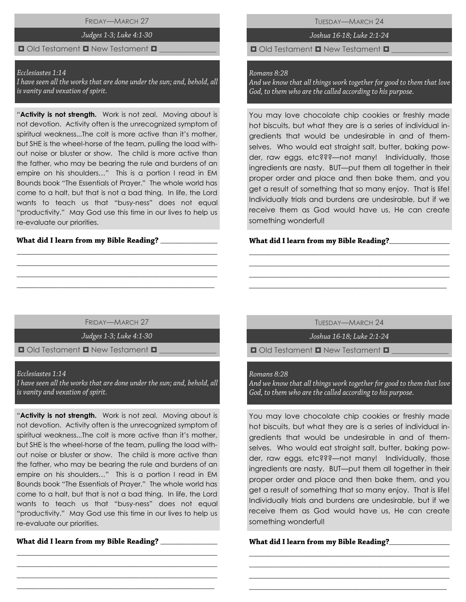FRIDAY—MARCH 27

### Judges 1-3; Luke 4:1-30

## $\Box$  Old Testament  $\Box$  New Testament  $\Box$

#### Ecclesiastes 1:14

I have seen all the works that are done under the sun; and, behold, all is vanity and vexation of spirit.

"**Activity is not strength.** Work is not zeal. Moving about is not devotion. Activity often is the unrecognized symptom of spiritual weakness...The colt is more active than it's mother, but SHE is the wheel-horse of the team, pulling the load without noise or bluster or show. The child is more active than the father, who may be bearing the rule and burdens of an empire on his shoulders…" This is a portion I read in EM Bounds book "The Essentials of Prayer." The whole world has come to a halt, but that is not a bad thing. In life, the Lord wants to teach us that "busy-ness" does not equal "productivity." May God use this time in our lives to help us re-evaluate our priorities.

### What did I learn from my Bible Reading? \_\_\_\_\_

TUESDAY—MARCH 24

Joshua 16-18; Luke 2:1-24

 $\Box$  Old Testament  $\Box$  New Testament  $\Box$ 

### Romans 8:28

And we know that all things work together for good to them that love God, to them who are the called according to his purpose.

You may love chocolate chip cookies or freshly made hot biscuits, but what they are is a series of individual ingredients that would be undesirable in and of themselves. Who would eat straight salt, butter, baking powder, raw eggs, etc???—not many! Individually, those ingredients are nasty. BUT—put them all together in their proper order and place and then bake them, and you get a result of something that so many enjoy. That is life! Individually trials and burdens are undesirable, but if we receive them as God would have us, He can create something wonderful!

### What did I learn from my Bible Reading?\_\_\_

FRIDAY—MARCH 27

\_\_\_\_\_\_\_\_\_\_\_\_\_\_\_\_\_\_\_\_\_\_\_\_\_\_\_\_\_\_\_\_\_\_\_\_\_\_\_\_\_\_\_\_\_\_\_\_\_\_\_\_ \_\_\_\_\_\_\_\_\_\_\_\_\_\_\_\_\_\_\_\_\_\_\_\_\_\_\_\_\_\_\_\_\_\_\_\_\_\_\_\_\_\_\_\_\_\_\_\_\_\_\_\_ \_\_\_\_\_\_\_\_\_\_\_\_\_\_\_\_\_\_\_\_\_\_\_\_\_\_\_\_\_\_\_\_\_\_\_\_\_\_\_\_\_\_\_\_\_\_\_\_\_\_\_\_ \_\_\_\_\_\_\_\_\_\_\_\_\_\_\_\_\_\_\_\_\_\_\_\_\_\_\_\_\_\_\_\_\_\_\_\_\_\_\_\_\_\_\_\_\_\_\_\_\_\_\_\_

Judges 1-3; Luke 4:1-30

 $\Box$  Old Testament  $\Box$  New Testament  $\Box$ 

#### Ecclesiastes 1:14

I have seen all the works that are done under the sun; and, behold, all is vanity and vexation of spirit.

"**Activity is not strength.** Work is not zeal. Moving about is not devotion. Activity often is the unrecognized symptom of spiritual weakness...The colt is more active than it's mother, but SHE is the wheel-horse of the team, pulling the load without noise or bluster or show. The child is more active than the father, who may be bearing the rule and burdens of an empire on his shoulders…" This is a portion I read in EM Bounds book "The Essentials of Prayer." The whole world has come to a halt, but that is not a bad thing. In life, the Lord wants to teach us that "busy-ness" does not equal "productivity." May God use this time in our lives to help us re-evaluate our priorities.

\_\_\_\_\_\_\_\_\_\_\_\_\_\_\_\_\_\_\_\_\_\_\_\_\_\_\_\_\_\_\_\_\_\_\_\_\_\_\_\_\_\_\_\_\_\_\_\_\_\_\_\_ \_\_\_\_\_\_\_\_\_\_\_\_\_\_\_\_\_\_\_\_\_\_\_\_\_\_\_\_\_\_\_\_\_\_\_\_\_\_\_\_\_\_\_\_\_\_\_\_\_\_\_\_ \_\_\_\_\_\_\_\_\_\_\_\_\_\_\_\_\_\_\_\_\_\_\_\_\_\_\_\_\_\_\_\_\_\_\_\_\_\_\_\_\_\_\_\_\_\_\_\_\_\_\_\_ \_\_\_\_\_\_\_\_\_\_\_\_\_\_\_\_\_\_\_\_\_\_\_\_\_\_\_\_\_\_\_\_\_\_\_\_\_\_\_\_\_\_\_\_\_\_\_\_\_\_\_\_

\_\_\_\_\_\_\_\_\_\_\_\_\_\_\_

TUESDAY—MARCH 24

\_\_\_\_\_\_\_\_\_\_\_\_\_\_\_\_\_\_\_\_\_\_\_\_\_\_\_\_\_\_\_\_\_\_\_\_\_\_\_\_\_\_\_\_\_\_\_\_\_\_\_\_ \_\_\_\_\_\_\_\_\_\_\_\_\_\_\_\_\_\_\_\_\_\_\_\_\_\_\_\_\_\_\_\_\_\_\_\_\_\_\_\_\_\_\_\_\_\_\_\_\_\_\_\_ \_\_\_\_\_\_\_\_\_\_\_\_\_\_\_\_\_\_\_\_\_\_\_\_\_\_\_\_\_\_\_\_\_\_\_\_\_\_\_\_\_\_\_\_\_\_\_\_\_\_\_\_ \_\_\_\_\_\_\_\_\_\_\_\_\_\_\_\_\_\_\_\_\_\_\_\_\_\_\_\_\_\_\_\_\_\_\_\_\_\_\_\_\_\_\_\_\_\_\_\_\_\_\_\_

Joshua 16-18; Luke 2:1-24

 $\Box$  Old Testament  $\Box$  New Testament  $\Box$ 

#### Romans 8:28

And we know that all things work together for good to them that love God, to them who are the called according to his purpose.

You may love chocolate chip cookies or freshly made hot biscuits, but what they are is a series of individual ingredients that would be undesirable in and of themselves. Who would eat straight salt, butter, baking powder, raw eggs, etc???—not many! Individually, those ingredients are nasty. BUT—put them all together in their proper order and place and then bake them, and you get a result of something that so many enjoy. That is life! Individually trials and burdens are undesirable, but if we receive them as God would have us, He can create something wonderful!

\_\_\_\_\_\_\_\_\_\_\_\_\_\_\_\_\_\_\_\_\_\_\_\_\_\_\_\_\_\_\_\_\_\_\_\_\_\_\_\_\_\_\_\_\_\_\_\_\_\_\_\_ \_\_\_\_\_\_\_\_\_\_\_\_\_\_\_\_\_\_\_\_\_\_\_\_\_\_\_\_\_\_\_\_\_\_\_\_\_\_\_\_\_\_\_\_\_\_\_\_\_\_\_\_ \_\_\_\_\_\_\_\_\_\_\_\_\_\_\_\_\_\_\_\_\_\_\_\_\_\_\_\_\_\_\_\_\_\_\_\_\_\_\_\_\_\_\_\_\_\_\_\_\_\_\_\_ \_\_\_\_\_\_\_\_\_\_\_\_\_\_\_\_\_\_\_\_\_\_\_\_\_\_\_\_\_\_\_\_\_\_\_\_\_\_\_\_\_\_\_\_\_\_\_\_\_\_\_\_

## What did I learn from my Bible Reading?\_\_\_\_\_\_\_\_\_\_